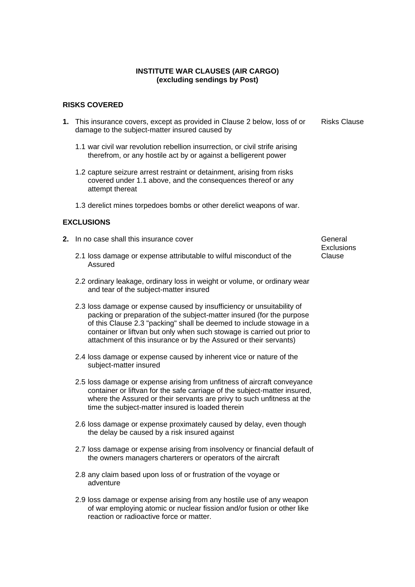### **INSTITUTE WAR CLAUSES (AIR CARGO) (excluding sendings by Post)**

#### **RISKS COVERED**

- **1.** This insurance covers, except as provided in Clause 2 below, loss of or damage to the subject-matter insured caused by
	- 1.1 war civil war revolution rebellion insurrection, or civil strife arising therefrom, or any hostile act by or against a belligerent power
	- 1.2 capture seizure arrest restraint or detainment, arising from risks covered under 1.1 above, and the consequences thereof or any attempt thereat
	- 1.3 derelict mines torpedoes bombs or other derelict weapons of war.

### **EXCLUSIONS**

- **2.** In no case shall this insurance cover **General General** 
	- 2.1 loss damage or expense attributable to wilful misconduct of the Assured
	- 2.2 ordinary leakage, ordinary loss in weight or volume, or ordinary wear and tear of the subject-matter insured
	- 2.3 loss damage or expense caused by insufficiency or unsuitability of packing or preparation of the subject-matter insured (for the purpose of this Clause 2.3 "packing" shall be deemed to include stowage in a container or liftvan but only when such stowage is carried out prior to attachment of this insurance or by the Assured or their servants)
	- 2.4 loss damage or expense caused by inherent vice or nature of the subject-matter insured
	- 2.5 loss damage or expense arising from unfitness of aircraft conveyance container or liftvan for the safe carriage of the subject-matter insured, where the Assured or their servants are privy to such unfitness at the time the subject-matter insured is loaded therein
	- 2.6 loss damage or expense proximately caused by delay, even though the delay be caused by a risk insured against
	- 2.7 loss damage or expense arising from insolvency or financial default of the owners managers charterers or operators of the aircraft
	- 2.8 any claim based upon loss of or frustration of the voyage or adventure
	- 2.9 loss damage or expense arising from any hostile use of any weapon of war employing atomic or nuclear fission and/or fusion or other like reaction or radioactive force or matter.

**Exclusions** Clause

Risks Clause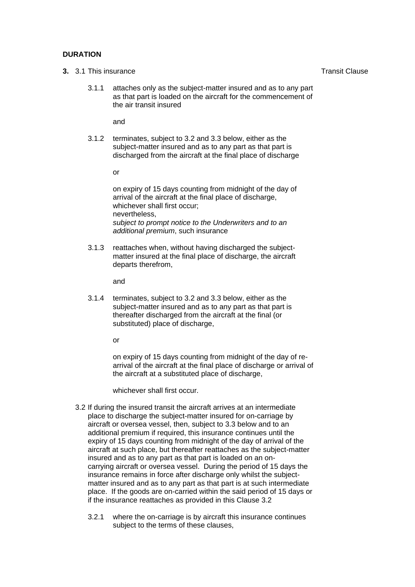## **DURATION**

- **3.** 3.1 This insurance **Transit Clause** Transit Clause
	- 3.1.1 attaches only as the subject-matter insured and as to any part as that part is loaded on the aircraft for the commencement of the air transit insured

and

3.1.2 terminates, subject to 3.2 and 3.3 below, either as the subject-matter insured and as to any part as that part is discharged from the aircraft at the final place of discharge

or

on expiry of 15 days counting from midnight of the day of arrival of the aircraft at the final place of discharge, whichever shall first occur; nevertheless, *subject to prompt notice to the Underwriters and to an additional premium*, such insurance

3.1.3 reattaches when, without having discharged the subjectmatter insured at the final place of discharge, the aircraft departs therefrom,

and

3.1.4 terminates, subject to 3.2 and 3.3 below, either as the subject-matter insured and as to any part as that part is thereafter discharged from the aircraft at the final (or substituted) place of discharge,

or

on expiry of 15 days counting from midnight of the day of rearrival of the aircraft at the final place of discharge or arrival of the aircraft at a substituted place of discharge,

whichever shall first occur.

- 3.2 If during the insured transit the aircraft arrives at an intermediate place to discharge the subject-matter insured for on-carriage by aircraft or oversea vessel, then, subject to 3.3 below and to an additional premium if required, this insurance continues until the expiry of 15 days counting from midnight of the day of arrival of the aircraft at such place, but thereafter reattaches as the subject-matter insured and as to any part as that part is loaded on an oncarrying aircraft or oversea vessel. During the period of 15 days the insurance remains in force after discharge only whilst the subjectmatter insured and as to any part as that part is at such intermediate place. If the goods are on-carried within the said period of 15 days or if the insurance reattaches as provided in this Clause 3.2
	- 3.2.1 where the on-carriage is by aircraft this insurance continues subject to the terms of these clauses,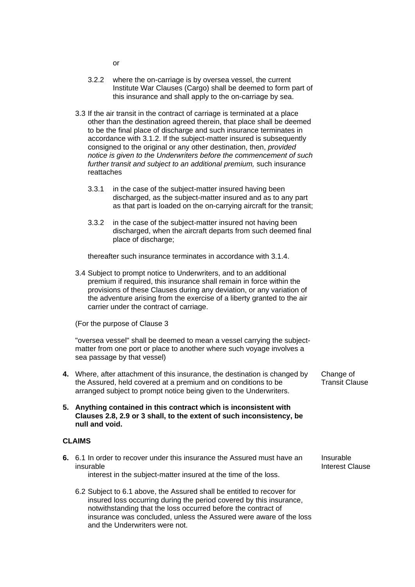- or
- 3.2.2 where the on-carriage is by oversea vessel, the current Institute War Clauses (Cargo) shall be deemed to form part of this insurance and shall apply to the on-carriage by sea.
- 3.3 If the air transit in the contract of carriage is terminated at a place other than the destination agreed therein, that place shall be deemed to be the final place of discharge and such insurance terminates in accordance with 3.1.2. If the subject-matter insured is subsequently consigned to the original or any other destination, then, *provided notice is given to the Underwriters before the commencement of such further transit and subject to an additional premium,* such insurance reattaches
	- 3.3.1 in the case of the subject-matter insured having been discharged, as the subject-matter insured and as to any part as that part is loaded on the on-carrying aircraft for the transit;
	- 3.3.2 in the case of the subject-matter insured not having been discharged, when the aircraft departs from such deemed final place of discharge;

thereafter such insurance terminates in accordance with 3.1.4.

3.4 Subject to prompt notice to Underwriters, and to an additional premium if required, this insurance shall remain in force within the provisions of these Clauses during any deviation, or any variation of the adventure arising from the exercise of a liberty granted to the air carrier under the contract of carriage.

(For the purpose of Clause 3

"oversea vessel" shall be deemed to mean a vessel carrying the subjectmatter from one port or place to another where such voyage involves a sea passage by that vessel)

- **4.** Where, after attachment of this insurance, the destination is changed by the Assured, held covered at a premium and on conditions to be arranged subject to prompt notice being given to the Underwriters.
- **5. Anything contained in this contract which is inconsistent with Clauses 2.8, 2.9 or 3 shall, to the extent of such inconsistency, be null and void.**

### **CLAIMS**

**6.** 6.1 In order to recover under this insurance the Assured must have an insurable

interest in the subject-matter insured at the time of the loss.

6.2 Subject to 6.1 above, the Assured shall be entitled to recover for insured loss occurring during the period covered by this insurance, notwithstanding that the loss occurred before the contract of insurance was concluded, unless the Assured were aware of the loss and the Underwriters were not.

Change of Transit Clause

Insurable Interest Clause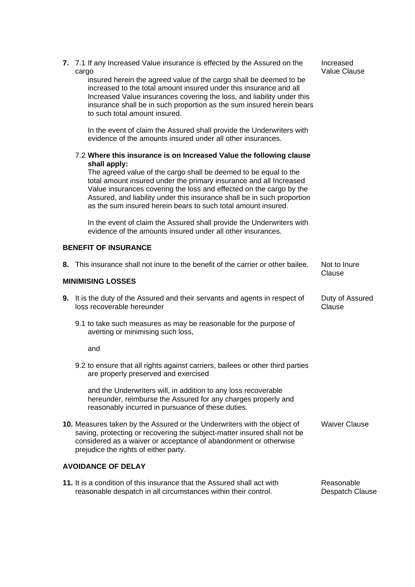|                                                                                                                                                                                                                                                                   | 7. 7.1 If any Increased Value insurance is effected by the Assured on the<br>cargo<br>insured herein the agreed value of the cargo shall be deemed to be<br>increased to the total amount insured under this insurance and all<br>Increased Value insurances covering the loss, and liability under this<br>insurance shall be in such proportion as the sum insured herein bears<br>to such total amount insured.<br>In the event of claim the Assured shall provide the Underwriters with<br>evidence of the amounts insured under all other insurances.<br>7.2 Where this insurance is on Increased Value the following clause<br>shall apply:<br>The agreed value of the cargo shall be deemed to be equal to the<br>total amount insured under the primary insurance and all Increased<br>Value insurances covering the loss and effected on the cargo by the<br>Assured, and liability under this insurance shall be in such proportion<br>as the sum insured herein bears to such total amount insured. | Increased<br><b>Value Clause</b> |  |
|-------------------------------------------------------------------------------------------------------------------------------------------------------------------------------------------------------------------------------------------------------------------|----------------------------------------------------------------------------------------------------------------------------------------------------------------------------------------------------------------------------------------------------------------------------------------------------------------------------------------------------------------------------------------------------------------------------------------------------------------------------------------------------------------------------------------------------------------------------------------------------------------------------------------------------------------------------------------------------------------------------------------------------------------------------------------------------------------------------------------------------------------------------------------------------------------------------------------------------------------------------------------------------------------|----------------------------------|--|
|                                                                                                                                                                                                                                                                   | In the event of claim the Assured shall provide the Underwriters with<br>evidence of the amounts insured under all other insurances.                                                                                                                                                                                                                                                                                                                                                                                                                                                                                                                                                                                                                                                                                                                                                                                                                                                                           |                                  |  |
| <b>BENEFIT OF INSURANCE</b>                                                                                                                                                                                                                                       |                                                                                                                                                                                                                                                                                                                                                                                                                                                                                                                                                                                                                                                                                                                                                                                                                                                                                                                                                                                                                |                                  |  |
| 8.                                                                                                                                                                                                                                                                | This insurance shall not inure to the benefit of the carrier or other bailee.                                                                                                                                                                                                                                                                                                                                                                                                                                                                                                                                                                                                                                                                                                                                                                                                                                                                                                                                  | Not to Inure<br>Clause           |  |
|                                                                                                                                                                                                                                                                   | <b>MINIMISING LOSSES</b>                                                                                                                                                                                                                                                                                                                                                                                                                                                                                                                                                                                                                                                                                                                                                                                                                                                                                                                                                                                       |                                  |  |
|                                                                                                                                                                                                                                                                   | 9. It is the duty of the Assured and their servants and agents in respect of<br>loss recoverable hereunder                                                                                                                                                                                                                                                                                                                                                                                                                                                                                                                                                                                                                                                                                                                                                                                                                                                                                                     | Duty of Assured<br>Clause        |  |
|                                                                                                                                                                                                                                                                   | 9.1 to take such measures as may be reasonable for the purpose of<br>averting or minimising such loss,                                                                                                                                                                                                                                                                                                                                                                                                                                                                                                                                                                                                                                                                                                                                                                                                                                                                                                         |                                  |  |
|                                                                                                                                                                                                                                                                   | and                                                                                                                                                                                                                                                                                                                                                                                                                                                                                                                                                                                                                                                                                                                                                                                                                                                                                                                                                                                                            |                                  |  |
|                                                                                                                                                                                                                                                                   | 9.2 to ensure that all rights against carriers, bailees or other third parties<br>are properly preserved and exercised                                                                                                                                                                                                                                                                                                                                                                                                                                                                                                                                                                                                                                                                                                                                                                                                                                                                                         |                                  |  |
|                                                                                                                                                                                                                                                                   | and the Underwriters will, in addition to any loss recoverable<br>hereunder, reimburse the Assured for any charges properly and<br>reasonably incurred in pursuance of these duties.                                                                                                                                                                                                                                                                                                                                                                                                                                                                                                                                                                                                                                                                                                                                                                                                                           |                                  |  |
| 10. Measures taken by the Assured or the Underwriters with the object of<br>saving, protecting or recovering the subject-matter insured shall not be<br>considered as a waiver or acceptance of abandonment or otherwise<br>prejudice the rights of either party. |                                                                                                                                                                                                                                                                                                                                                                                                                                                                                                                                                                                                                                                                                                                                                                                                                                                                                                                                                                                                                | <b>Waiver Clause</b>             |  |
| <b>AVOIDANCE OF DELAY</b>                                                                                                                                                                                                                                         |                                                                                                                                                                                                                                                                                                                                                                                                                                                                                                                                                                                                                                                                                                                                                                                                                                                                                                                                                                                                                |                                  |  |
| 11. It is a condition of this insurance that the Assured shall act with<br>reasonable despatch in all circumstances within their control.                                                                                                                         |                                                                                                                                                                                                                                                                                                                                                                                                                                                                                                                                                                                                                                                                                                                                                                                                                                                                                                                                                                                                                | Reasonable<br>Despatch Clause    |  |